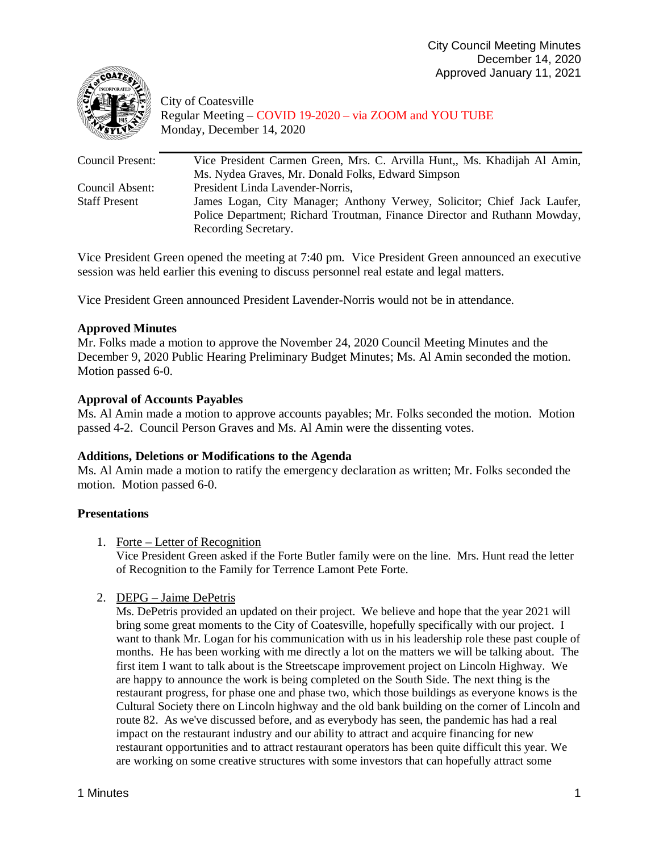

City of Coatesville Regular Meeting – COVID 19-2020 – via ZOOM and YOU TUBE Monday, December 14, 2020

| Vice President Carmen Green, Mrs. C. Arvilla Hunt,, Ms. Khadijah Al Amin, |
|---------------------------------------------------------------------------|
| Ms. Nydea Graves, Mr. Donald Folks, Edward Simpson                        |
| President Linda Lavender-Norris,                                          |
| James Logan, City Manager; Anthony Verwey, Solicitor; Chief Jack Laufer,  |
| Police Department; Richard Troutman, Finance Director and Ruthann Mowday, |
| Recording Secretary.                                                      |
|                                                                           |

Vice President Green opened the meeting at 7:40 pm. Vice President Green announced an executive session was held earlier this evening to discuss personnel real estate and legal matters.

Vice President Green announced President Lavender-Norris would not be in attendance.

## **Approved Minutes**

Mr. Folks made a motion to approve the November 24, 2020 Council Meeting Minutes and the December 9, 2020 Public Hearing Preliminary Budget Minutes; Ms. Al Amin seconded the motion. Motion passed 6-0.

# **Approval of Accounts Payables**

Ms. Al Amin made a motion to approve accounts payables; Mr. Folks seconded the motion. Motion passed 4-2. Council Person Graves and Ms. Al Amin were the dissenting votes.

## **Additions, Deletions or Modifications to the Agenda**

Ms. Al Amin made a motion to ratify the emergency declaration as written; Mr. Folks seconded the motion. Motion passed 6-0.

## **Presentations**

## 1. Forte – Letter of Recognition

Vice President Green asked if the Forte Butler family were on the line. Mrs. Hunt read the letter of Recognition to the Family for Terrence Lamont Pete Forte.

## 2. DEPG – Jaime DePetris

Ms. DePetris provided an updated on their project. We believe and hope that the year 2021 will bring some great moments to the City of Coatesville, hopefully specifically with our project. I want to thank Mr. Logan for his communication with us in his leadership role these past couple of months. He has been working with me directly a lot on the matters we will be talking about. The first item I want to talk about is the Streetscape improvement project on Lincoln Highway. We are happy to announce the work is being completed on the South Side. The next thing is the restaurant progress, for phase one and phase two, which those buildings as everyone knows is the Cultural Society there on Lincoln highway and the old bank building on the corner of Lincoln and route 82. As we've discussed before, and as everybody has seen, the pandemic has had a real impact on the restaurant industry and our ability to attract and acquire financing for new restaurant opportunities and to attract restaurant operators has been quite difficult this year. We are working on some creative structures with some investors that can hopefully attract some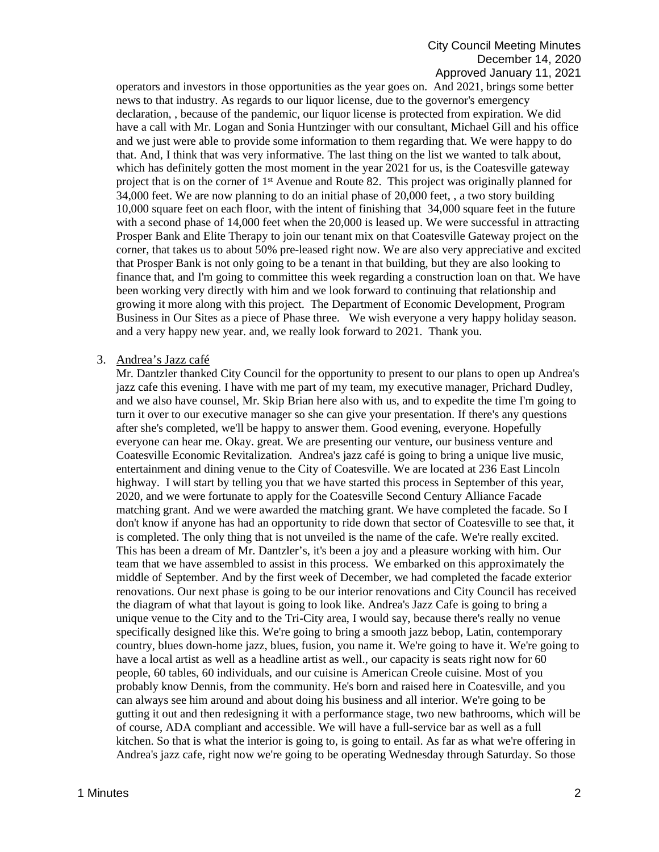operators and investors in those opportunities as the year goes on. And 2021, brings some better news to that industry. As regards to our liquor license, due to the governor's emergency declaration, , because of the pandemic, our liquor license is protected from expiration. We did have a call with Mr. Logan and Sonia Huntzinger with our consultant, Michael Gill and his office and we just were able to provide some information to them regarding that. We were happy to do that. And, I think that was very informative. The last thing on the list we wanted to talk about, which has definitely gotten the most moment in the year 2021 for us, is the Coatesville gateway project that is on the corner of  $1<sup>st</sup>$  Avenue and Route 82. This project was originally planned for 34,000 feet. We are now planning to do an initial phase of 20,000 feet, , a two story building 10,000 square feet on each floor, with the intent of finishing that 34,000 square feet in the future with a second phase of 14,000 feet when the 20,000 is leased up. We were successful in attracting Prosper Bank and Elite Therapy to join our tenant mix on that Coatesville Gateway project on the corner, that takes us to about 50% pre-leased right now. We are also very appreciative and excited that Prosper Bank is not only going to be a tenant in that building, but they are also looking to finance that, and I'm going to committee this week regarding a construction loan on that. We have been working very directly with him and we look forward to continuing that relationship and growing it more along with this project. The Department of Economic Development, Program Business in Our Sites as a piece of Phase three. We wish everyone a very happy holiday season. and a very happy new year. and, we really look forward to 2021. Thank you.

### 3. Andrea's Jazz café

Mr. Dantzler thanked City Council for the opportunity to present to our plans to open up Andrea's jazz cafe this evening. I have with me part of my team, my executive manager, Prichard Dudley, and we also have counsel, Mr. Skip Brian here also with us, and to expedite the time I'm going to turn it over to our executive manager so she can give your presentation. If there's any questions after she's completed, we'll be happy to answer them. Good evening, everyone. Hopefully everyone can hear me. Okay. great. We are presenting our venture, our business venture and Coatesville Economic Revitalization. Andrea's jazz café is going to bring a unique live music, entertainment and dining venue to the City of Coatesville. We are located at 236 East Lincoln highway. I will start by telling you that we have started this process in September of this year, 2020, and we were fortunate to apply for the Coatesville Second Century Alliance Facade matching grant. And we were awarded the matching grant. We have completed the facade. So I don't know if anyone has had an opportunity to ride down that sector of Coatesville to see that, it is completed. The only thing that is not unveiled is the name of the cafe. We're really excited. This has been a dream of Mr. Dantzler's, it's been a joy and a pleasure working with him. Our team that we have assembled to assist in this process. We embarked on this approximately the middle of September. And by the first week of December, we had completed the facade exterior renovations. Our next phase is going to be our interior renovations and City Council has received the diagram of what that layout is going to look like. Andrea's Jazz Cafe is going to bring a unique venue to the City and to the Tri-City area, I would say, because there's really no venue specifically designed like this. We're going to bring a smooth jazz bebop, Latin, contemporary country, blues down-home jazz, blues, fusion, you name it. We're going to have it. We're going to have a local artist as well as a headline artist as well., our capacity is seats right now for 60 people, 60 tables, 60 individuals, and our cuisine is American Creole cuisine. Most of you probably know Dennis, from the community. He's born and raised here in Coatesville, and you can always see him around and about doing his business and all interior. We're going to be gutting it out and then redesigning it with a performance stage, two new bathrooms, which will be of course, ADA compliant and accessible. We will have a full-service bar as well as a full kitchen. So that is what the interior is going to, is going to entail. As far as what we're offering in Andrea's jazz cafe, right now we're going to be operating Wednesday through Saturday. So those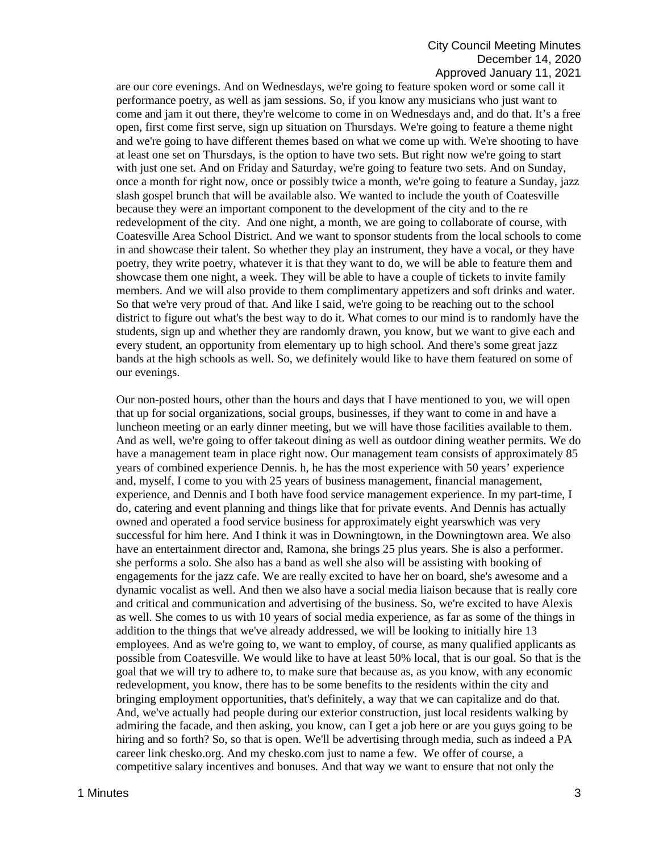## City Council Meeting Minutes December 14, 2020 Approved January 11, 2021

are our core evenings. And on Wednesdays, we're going to feature spoken word or some call it performance poetry, as well as jam sessions. So, if you know any musicians who just want to come and jam it out there, they're welcome to come in on Wednesdays and, and do that. It's a free open, first come first serve, sign up situation on Thursdays. We're going to feature a theme night and we're going to have different themes based on what we come up with. We're shooting to have at least one set on Thursdays, is the option to have two sets. But right now we're going to start with just one set. And on Friday and Saturday, we're going to feature two sets. And on Sunday, once a month for right now, once or possibly twice a month, we're going to feature a Sunday, jazz slash gospel brunch that will be available also. We wanted to include the youth of Coatesville because they were an important component to the development of the city and to the re redevelopment of the city. And one night, a month, we are going to collaborate of course, with Coatesville Area School District. And we want to sponsor students from the local schools to come in and showcase their talent. So whether they play an instrument, they have a vocal, or they have poetry, they write poetry, whatever it is that they want to do, we will be able to feature them and showcase them one night, a week. They will be able to have a couple of tickets to invite family members. And we will also provide to them complimentary appetizers and soft drinks and water. So that we're very proud of that. And like I said, we're going to be reaching out to the school district to figure out what's the best way to do it. What comes to our mind is to randomly have the students, sign up and whether they are randomly drawn, you know, but we want to give each and every student, an opportunity from elementary up to high school. And there's some great jazz bands at the high schools as well. So, we definitely would like to have them featured on some of our evenings.

Our non-posted hours, other than the hours and days that I have mentioned to you, we will open that up for social organizations, social groups, businesses, if they want to come in and have a luncheon meeting or an early dinner meeting, but we will have those facilities available to them. And as well, we're going to offer takeout dining as well as outdoor dining weather permits. We do have a management team in place right now. Our management team consists of approximately 85 years of combined experience Dennis. h, he has the most experience with 50 years' experience and, myself, I come to you with 25 years of business management, financial management, experience, and Dennis and I both have food service management experience. In my part-time, I do, catering and event planning and things like that for private events. And Dennis has actually owned and operated a food service business for approximately eight yearswhich was very successful for him here. And I think it was in Downingtown, in the Downingtown area. We also have an entertainment director and, Ramona, she brings 25 plus years. She is also a performer. she performs a solo. She also has a band as well she also will be assisting with booking of engagements for the jazz cafe. We are really excited to have her on board, she's awesome and a dynamic vocalist as well. And then we also have a social media liaison because that is really core and critical and communication and advertising of the business. So, we're excited to have Alexis as well. She comes to us with 10 years of social media experience, as far as some of the things in addition to the things that we've already addressed, we will be looking to initially hire 13 employees. And as we're going to, we want to employ, of course, as many qualified applicants as possible from Coatesville. We would like to have at least 50% local, that is our goal. So that is the goal that we will try to adhere to, to make sure that because as, as you know, with any economic redevelopment, you know, there has to be some benefits to the residents within the city and bringing employment opportunities, that's definitely, a way that we can capitalize and do that. And, we've actually had people during our exterior construction, just local residents walking by admiring the facade, and then asking, you know, can I get a job here or are you guys going to be hiring and so forth? So, so that is open. We'll be advertising through media, such as indeed a PA career link chesko.org. And my chesko.com just to name a few. We offer of course, a competitive salary incentives and bonuses. And that way we want to ensure that not only the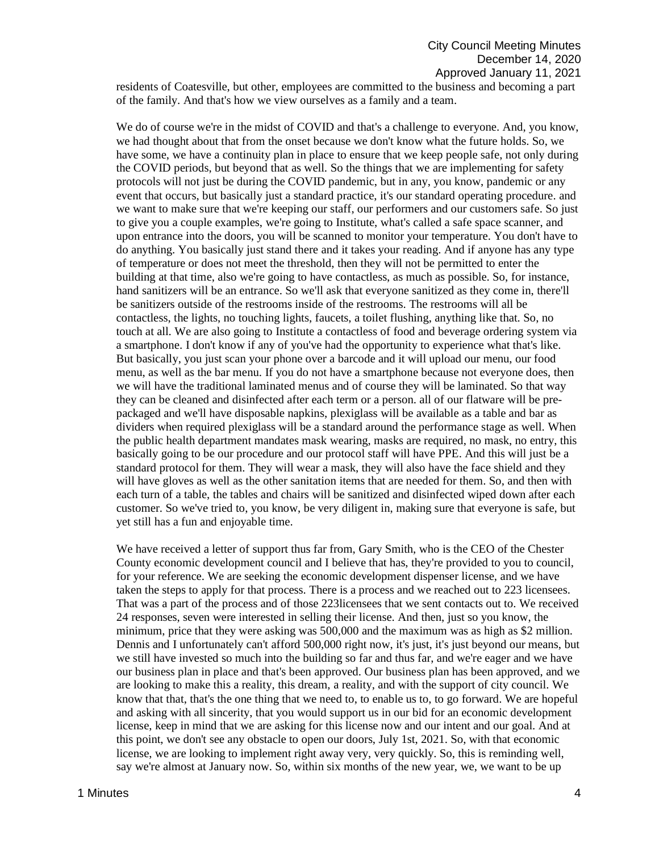residents of Coatesville, but other, employees are committed to the business and becoming a part of the family. And that's how we view ourselves as a family and a team.

We do of course we're in the midst of COVID and that's a challenge to everyone. And, you know, we had thought about that from the onset because we don't know what the future holds. So, we have some, we have a continuity plan in place to ensure that we keep people safe, not only during the COVID periods, but beyond that as well. So the things that we are implementing for safety protocols will not just be during the COVID pandemic, but in any, you know, pandemic or any event that occurs, but basically just a standard practice, it's our standard operating procedure. and we want to make sure that we're keeping our staff, our performers and our customers safe. So just to give you a couple examples, we're going to Institute, what's called a safe space scanner, and upon entrance into the doors, you will be scanned to monitor your temperature. You don't have to do anything. You basically just stand there and it takes your reading. And if anyone has any type of temperature or does not meet the threshold, then they will not be permitted to enter the building at that time, also we're going to have contactless, as much as possible. So, for instance, hand sanitizers will be an entrance. So we'll ask that everyone sanitized as they come in, there'll be sanitizers outside of the restrooms inside of the restrooms. The restrooms will all be contactless, the lights, no touching lights, faucets, a toilet flushing, anything like that. So, no touch at all. We are also going to Institute a contactless of food and beverage ordering system via a smartphone. I don't know if any of you've had the opportunity to experience what that's like. But basically, you just scan your phone over a barcode and it will upload our menu, our food menu, as well as the bar menu. If you do not have a smartphone because not everyone does, then we will have the traditional laminated menus and of course they will be laminated. So that way they can be cleaned and disinfected after each term or a person. all of our flatware will be prepackaged and we'll have disposable napkins, plexiglass will be available as a table and bar as dividers when required plexiglass will be a standard around the performance stage as well. When the public health department mandates mask wearing, masks are required, no mask, no entry, this basically going to be our procedure and our protocol staff will have PPE. And this will just be a standard protocol for them. They will wear a mask, they will also have the face shield and they will have gloves as well as the other sanitation items that are needed for them. So, and then with each turn of a table, the tables and chairs will be sanitized and disinfected wiped down after each customer. So we've tried to, you know, be very diligent in, making sure that everyone is safe, but yet still has a fun and enjoyable time.

We have received a letter of support thus far from, Gary Smith, who is the CEO of the Chester County economic development council and I believe that has, they're provided to you to council, for your reference. We are seeking the economic development dispenser license, and we have taken the steps to apply for that process. There is a process and we reached out to 223 licensees. That was a part of the process and of those 223licensees that we sent contacts out to. We received 24 responses, seven were interested in selling their license. And then, just so you know, the minimum, price that they were asking was 500,000 and the maximum was as high as \$2 million. Dennis and I unfortunately can't afford 500,000 right now, it's just, it's just beyond our means, but we still have invested so much into the building so far and thus far, and we're eager and we have our business plan in place and that's been approved. Our business plan has been approved, and we are looking to make this a reality, this dream, a reality, and with the support of city council. We know that that, that's the one thing that we need to, to enable us to, to go forward. We are hopeful and asking with all sincerity, that you would support us in our bid for an economic development license, keep in mind that we are asking for this license now and our intent and our goal. And at this point, we don't see any obstacle to open our doors, July 1st, 2021. So, with that economic license, we are looking to implement right away very, very quickly. So, this is reminding well, say we're almost at January now. So, within six months of the new year, we, we want to be up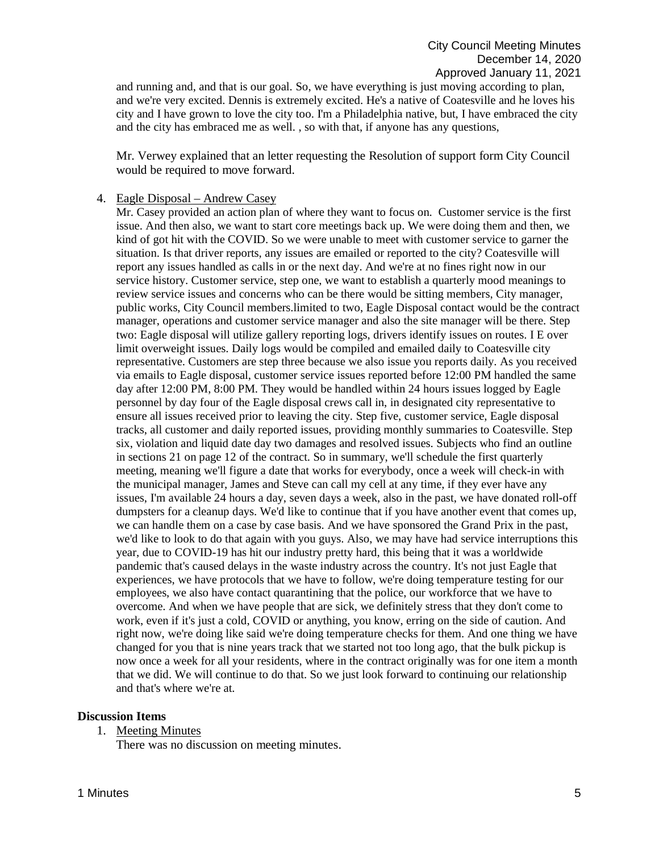and running and, and that is our goal. So, we have everything is just moving according to plan, and we're very excited. Dennis is extremely excited. He's a native of Coatesville and he loves his city and I have grown to love the city too. I'm a Philadelphia native, but, I have embraced the city and the city has embraced me as well. , so with that, if anyone has any questions,

Mr. Verwey explained that an letter requesting the Resolution of support form City Council would be required to move forward.

### 4. Eagle Disposal – Andrew Casey

Mr. Casey provided an action plan of where they want to focus on. Customer service is the first issue. And then also, we want to start core meetings back up. We were doing them and then, we kind of got hit with the COVID. So we were unable to meet with customer service to garner the situation. Is that driver reports, any issues are emailed or reported to the city? Coatesville will report any issues handled as calls in or the next day. And we're at no fines right now in our service history. Customer service, step one, we want to establish a quarterly mood meanings to review service issues and concerns who can be there would be sitting members, City manager, public works, City Council members.limited to two, Eagle Disposal contact would be the contract manager, operations and customer service manager and also the site manager will be there. Step two: Eagle disposal will utilize gallery reporting logs, drivers identify issues on routes. I E over limit overweight issues. Daily logs would be compiled and emailed daily to Coatesville city representative. Customers are step three because we also issue you reports daily. As you received via emails to Eagle disposal, customer service issues reported before 12:00 PM handled the same day after 12:00 PM, 8:00 PM. They would be handled within 24 hours issues logged by Eagle personnel by day four of the Eagle disposal crews call in, in designated city representative to ensure all issues received prior to leaving the city. Step five, customer service, Eagle disposal tracks, all customer and daily reported issues, providing monthly summaries to Coatesville. Step six, violation and liquid date day two damages and resolved issues. Subjects who find an outline in sections 21 on page 12 of the contract. So in summary, we'll schedule the first quarterly meeting, meaning we'll figure a date that works for everybody, once a week will check-in with the municipal manager, James and Steve can call my cell at any time, if they ever have any issues, I'm available 24 hours a day, seven days a week, also in the past, we have donated roll-off dumpsters for a cleanup days. We'd like to continue that if you have another event that comes up, we can handle them on a case by case basis. And we have sponsored the Grand Prix in the past, we'd like to look to do that again with you guys. Also, we may have had service interruptions this year, due to COVID-19 has hit our industry pretty hard, this being that it was a worldwide pandemic that's caused delays in the waste industry across the country. It's not just Eagle that experiences, we have protocols that we have to follow, we're doing temperature testing for our employees, we also have contact quarantining that the police, our workforce that we have to overcome. And when we have people that are sick, we definitely stress that they don't come to work, even if it's just a cold, COVID or anything, you know, erring on the side of caution. And right now, we're doing like said we're doing temperature checks for them. And one thing we have changed for you that is nine years track that we started not too long ago, that the bulk pickup is now once a week for all your residents, where in the contract originally was for one item a month that we did. We will continue to do that. So we just look forward to continuing our relationship and that's where we're at.

### **Discussion Items**

1. Meeting Minutes

There was no discussion on meeting minutes.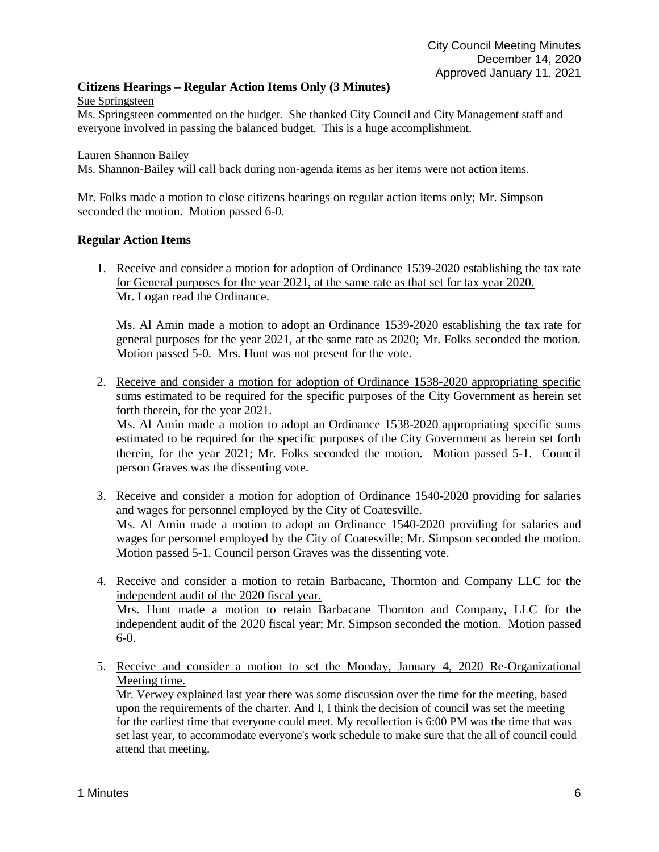# **Citizens Hearings – Regular Action Items Only (3 Minutes)**

Sue Springsteen

Ms. Springsteen commented on the budget. She thanked City Council and City Management staff and everyone involved in passing the balanced budget. This is a huge accomplishment.

Lauren Shannon Bailey

Ms. Shannon-Bailey will call back during non-agenda items as her items were not action items.

Mr. Folks made a motion to close citizens hearings on regular action items only; Mr. Simpson seconded the motion. Motion passed 6-0.

### **Regular Action Items**

1. Receive and consider a motion for adoption of Ordinance 1539-2020 establishing the tax rate for General purposes for the year 2021, at the same rate as that set for tax year 2020. Mr. Logan read the Ordinance.

Ms. Al Amin made a motion to adopt an Ordinance 1539-2020 establishing the tax rate for general purposes for the year 2021, at the same rate as 2020; Mr. Folks seconded the motion. Motion passed 5-0. Mrs. Hunt was not present for the vote.

2. Receive and consider a motion for adoption of Ordinance 1538-2020 appropriating specific sums estimated to be required for the specific purposes of the City Government as herein set forth therein, for the year 2021.

Ms. Al Amin made a motion to adopt an Ordinance 1538-2020 appropriating specific sums estimated to be required for the specific purposes of the City Government as herein set forth therein, for the year 2021; Mr. Folks seconded the motion. Motion passed 5-1. Council person Graves was the dissenting vote.

- 3. Receive and consider a motion for adoption of Ordinance 1540-2020 providing for salaries and wages for personnel employed by the City of Coatesville. Ms. Al Amin made a motion to adopt an Ordinance 1540-2020 providing for salaries and wages for personnel employed by the City of Coatesville; Mr. Simpson seconded the motion. Motion passed 5-1. Council person Graves was the dissenting vote.
- 4. Receive and consider a motion to retain Barbacane, Thornton and Company LLC for the independent audit of the 2020 fiscal year. Mrs. Hunt made a motion to retain Barbacane Thornton and Company, LLC for the

independent audit of the 2020 fiscal year; Mr. Simpson seconded the motion. Motion passed 6-0.

5. Receive and consider a motion to set the Monday, January 4, 2020 Re-Organizational Meeting time.

Mr. Verwey explained last year there was some discussion over the time for the meeting, based upon the requirements of the charter. And I, I think the decision of council was set the meeting for the earliest time that everyone could meet. My recollection is 6:00 PM was the time that was set last year, to accommodate everyone's work schedule to make sure that the all of council could attend that meeting.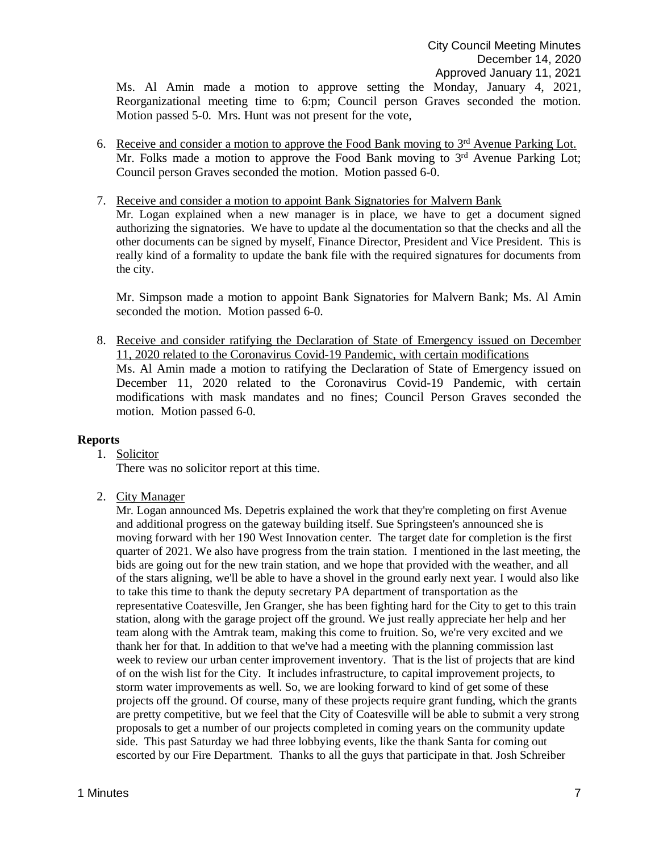Ms. Al Amin made a motion to approve setting the Monday, January 4, 2021, Reorganizational meeting time to 6:pm; Council person Graves seconded the motion. Motion passed 5-0. Mrs. Hunt was not present for the vote,

- 6. Receive and consider a motion to approve the Food Bank moving to  $3<sup>rd</sup>$  Avenue Parking Lot. Mr. Folks made a motion to approve the Food Bank moving to 3<sup>rd</sup> Avenue Parking Lot; Council person Graves seconded the motion. Motion passed 6-0.
- 7. Receive and consider a motion to appoint Bank Signatories for Malvern Bank Mr. Logan explained when a new manager is in place, we have to get a document signed authorizing the signatories. We have to update al the documentation so that the checks and all the other documents can be signed by myself, Finance Director, President and Vice President. This is really kind of a formality to update the bank file with the required signatures for documents from the city.

Mr. Simpson made a motion to appoint Bank Signatories for Malvern Bank; Ms. Al Amin seconded the motion. Motion passed 6-0.

8. Receive and consider ratifying the Declaration of State of Emergency issued on December 11, 2020 related to the Coronavirus Covid-19 Pandemic, with certain modifications Ms. Al Amin made a motion to ratifying the Declaration of State of Emergency issued on December 11, 2020 related to the Coronavirus Covid-19 Pandemic, with certain modifications with mask mandates and no fines; Council Person Graves seconded the motion. Motion passed 6-0.

### **Reports**

1. Solicitor

There was no solicitor report at this time.

2. City Manager

Mr. Logan announced Ms. Depetris explained the work that they're completing on first Avenue and additional progress on the gateway building itself. Sue Springsteen's announced she is moving forward with her 190 West Innovation center. The target date for completion is the first quarter of 2021. We also have progress from the train station. I mentioned in the last meeting, the bids are going out for the new train station, and we hope that provided with the weather, and all of the stars aligning, we'll be able to have a shovel in the ground early next year. I would also like to take this time to thank the deputy secretary PA department of transportation as the representative Coatesville, Jen Granger, she has been fighting hard for the City to get to this train station, along with the garage project off the ground. We just really appreciate her help and her team along with the Amtrak team, making this come to fruition. So, we're very excited and we thank her for that. In addition to that we've had a meeting with the planning commission last week to review our urban center improvement inventory. That is the list of projects that are kind of on the wish list for the City. It includes infrastructure, to capital improvement projects, to storm water improvements as well. So, we are looking forward to kind of get some of these projects off the ground. Of course, many of these projects require grant funding, which the grants are pretty competitive, but we feel that the City of Coatesville will be able to submit a very strong proposals to get a number of our projects completed in coming years on the community update side. This past Saturday we had three lobbying events, like the thank Santa for coming out escorted by our Fire Department. Thanks to all the guys that participate in that. Josh Schreiber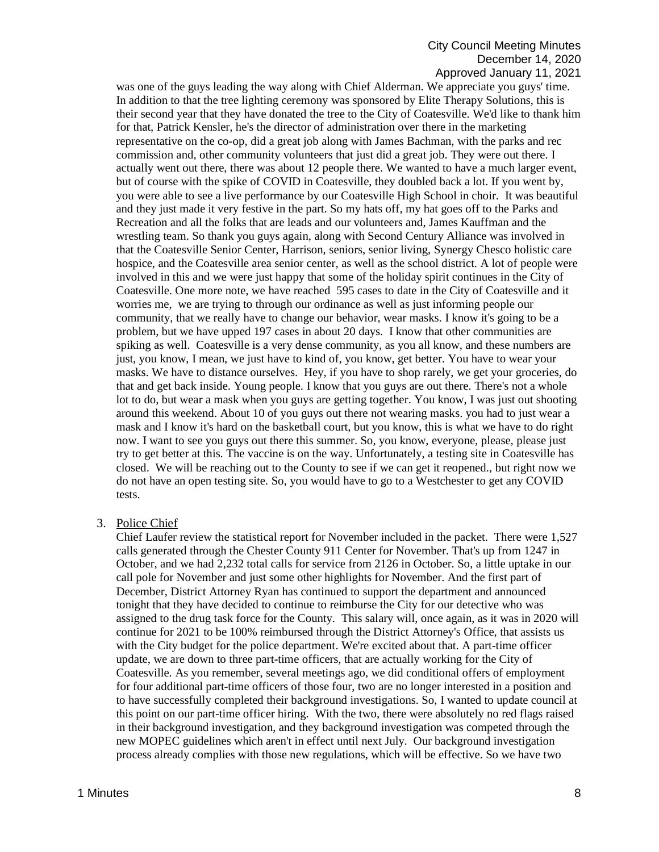## City Council Meeting Minutes December 14, 2020 Approved January 11, 2021

was one of the guys leading the way along with Chief Alderman. We appreciate you guys' time. In addition to that the tree lighting ceremony was sponsored by Elite Therapy Solutions, this is their second year that they have donated the tree to the City of Coatesville. We'd like to thank him for that, Patrick Kensler, he's the director of administration over there in the marketing representative on the co-op, did a great job along with James Bachman, with the parks and rec commission and, other community volunteers that just did a great job. They were out there. I actually went out there, there was about 12 people there. We wanted to have a much larger event, but of course with the spike of COVID in Coatesville, they doubled back a lot. If you went by, you were able to see a live performance by our Coatesville High School in choir. It was beautiful and they just made it very festive in the part. So my hats off, my hat goes off to the Parks and Recreation and all the folks that are leads and our volunteers and, James Kauffman and the wrestling team. So thank you guys again, along with Second Century Alliance was involved in that the Coatesville Senior Center, Harrison, seniors, senior living, Synergy Chesco holistic care hospice, and the Coatesville area senior center, as well as the school district. A lot of people were involved in this and we were just happy that some of the holiday spirit continues in the City of Coatesville. One more note, we have reached 595 cases to date in the City of Coatesville and it worries me, we are trying to through our ordinance as well as just informing people our community, that we really have to change our behavior, wear masks. I know it's going to be a problem, but we have upped 197 cases in about 20 days. I know that other communities are spiking as well. Coatesville is a very dense community, as you all know, and these numbers are just, you know, I mean, we just have to kind of, you know, get better. You have to wear your masks. We have to distance ourselves. Hey, if you have to shop rarely, we get your groceries, do that and get back inside. Young people. I know that you guys are out there. There's not a whole lot to do, but wear a mask when you guys are getting together. You know, I was just out shooting around this weekend. About 10 of you guys out there not wearing masks. you had to just wear a mask and I know it's hard on the basketball court, but you know, this is what we have to do right now. I want to see you guys out there this summer. So, you know, everyone, please, please just try to get better at this. The vaccine is on the way. Unfortunately, a testing site in Coatesville has closed. We will be reaching out to the County to see if we can get it reopened., but right now we do not have an open testing site. So, you would have to go to a Westchester to get any COVID tests.

### 3. Police Chief

Chief Laufer review the statistical report for November included in the packet. There were 1,527 calls generated through the Chester County 911 Center for November. That's up from 1247 in October, and we had 2,232 total calls for service from 2126 in October. So, a little uptake in our call pole for November and just some other highlights for November. And the first part of December, District Attorney Ryan has continued to support the department and announced tonight that they have decided to continue to reimburse the City for our detective who was assigned to the drug task force for the County. This salary will, once again, as it was in 2020 will continue for 2021 to be 100% reimbursed through the District Attorney's Office, that assists us with the City budget for the police department. We're excited about that. A part-time officer update, we are down to three part-time officers, that are actually working for the City of Coatesville. As you remember, several meetings ago, we did conditional offers of employment for four additional part-time officers of those four, two are no longer interested in a position and to have successfully completed their background investigations. So, I wanted to update council at this point on our part-time officer hiring. With the two, there were absolutely no red flags raised in their background investigation, and they background investigation was competed through the new MOPEC guidelines which aren't in effect until next July. Our background investigation process already complies with those new regulations, which will be effective. So we have two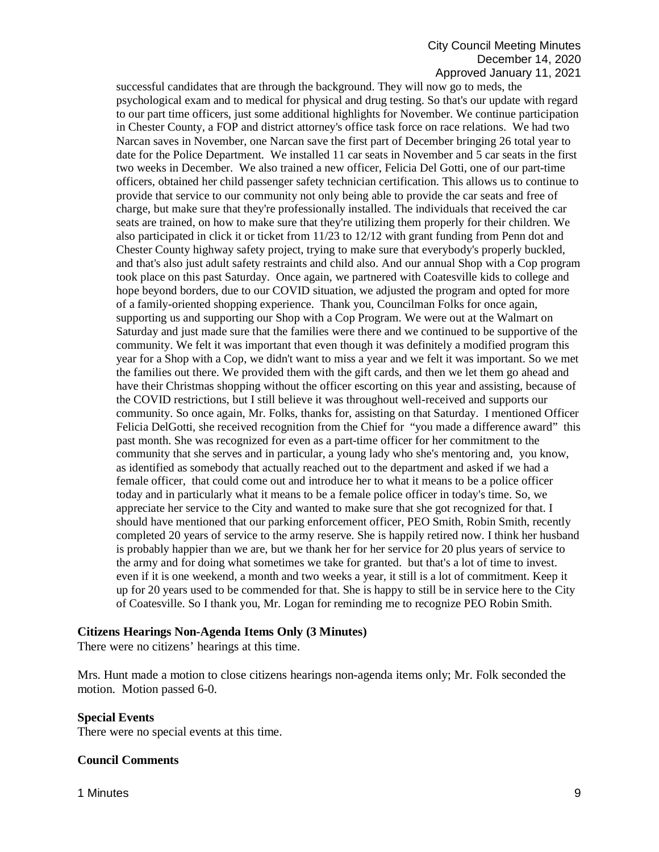### City Council Meeting Minutes December 14, 2020 Approved January 11, 2021

successful candidates that are through the background. They will now go to meds, the psychological exam and to medical for physical and drug testing. So that's our update with regard to our part time officers, just some additional highlights for November. We continue participation in Chester County, a FOP and district attorney's office task force on race relations. We had two Narcan saves in November, one Narcan save the first part of December bringing 26 total year to date for the Police Department. We installed 11 car seats in November and 5 car seats in the first two weeks in December. We also trained a new officer, Felicia Del Gotti, one of our part-time officers, obtained her child passenger safety technician certification. This allows us to continue to provide that service to our community not only being able to provide the car seats and free of charge, but make sure that they're professionally installed. The individuals that received the car seats are trained, on how to make sure that they're utilizing them properly for their children. We also participated in click it or ticket from 11/23 to 12/12 with grant funding from Penn dot and Chester County highway safety project, trying to make sure that everybody's properly buckled, and that's also just adult safety restraints and child also. And our annual Shop with a Cop program took place on this past Saturday. Once again, we partnered with Coatesville kids to college and hope beyond borders, due to our COVID situation, we adjusted the program and opted for more of a family-oriented shopping experience. Thank you, Councilman Folks for once again, supporting us and supporting our Shop with a Cop Program. We were out at the Walmart on Saturday and just made sure that the families were there and we continued to be supportive of the community. We felt it was important that even though it was definitely a modified program this year for a Shop with a Cop, we didn't want to miss a year and we felt it was important. So we met the families out there. We provided them with the gift cards, and then we let them go ahead and have their Christmas shopping without the officer escorting on this year and assisting, because of the COVID restrictions, but I still believe it was throughout well-received and supports our community. So once again, Mr. Folks, thanks for, assisting on that Saturday. I mentioned Officer Felicia DelGotti, she received recognition from the Chief for "you made a difference award" this past month. She was recognized for even as a part-time officer for her commitment to the community that she serves and in particular, a young lady who she's mentoring and, you know, as identified as somebody that actually reached out to the department and asked if we had a female officer, that could come out and introduce her to what it means to be a police officer today and in particularly what it means to be a female police officer in today's time. So, we appreciate her service to the City and wanted to make sure that she got recognized for that. I should have mentioned that our parking enforcement officer, PEO Smith, Robin Smith, recently completed 20 years of service to the army reserve. She is happily retired now. I think her husband is probably happier than we are, but we thank her for her service for 20 plus years of service to the army and for doing what sometimes we take for granted. but that's a lot of time to invest. even if it is one weekend, a month and two weeks a year, it still is a lot of commitment. Keep it up for 20 years used to be commended for that. She is happy to still be in service here to the City of Coatesville. So I thank you, Mr. Logan for reminding me to recognize PEO Robin Smith.

### **Citizens Hearings Non-Agenda Items Only (3 Minutes)**

There were no citizens' hearings at this time.

Mrs. Hunt made a motion to close citizens hearings non-agenda items only; Mr. Folk seconded the motion. Motion passed 6-0.

### **Special Events**

There were no special events at this time.

### **Council Comments**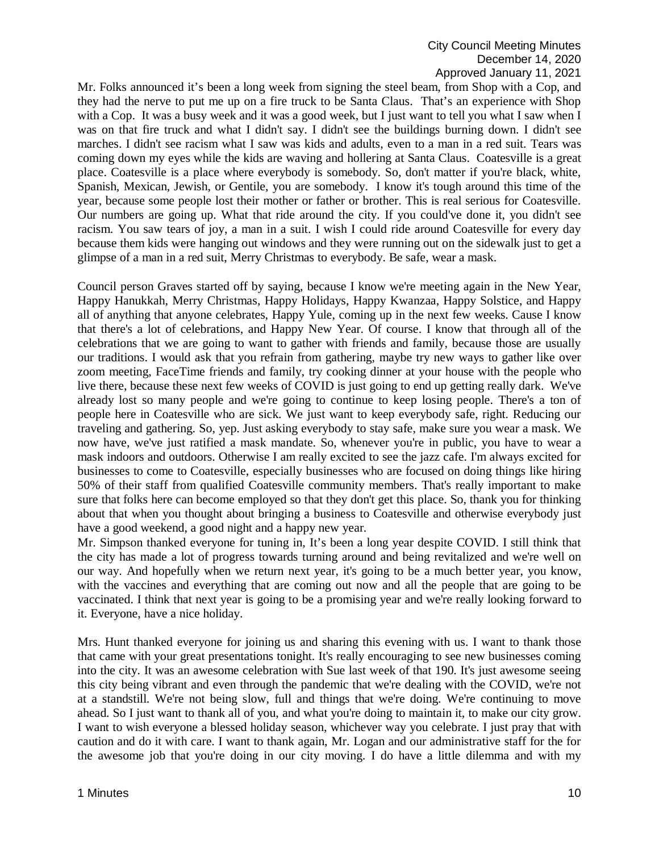Mr. Folks announced it's been a long week from signing the steel beam, from Shop with a Cop, and they had the nerve to put me up on a fire truck to be Santa Claus. That's an experience with Shop with a Cop. It was a busy week and it was a good week, but I just want to tell you what I saw when I was on that fire truck and what I didn't say. I didn't see the buildings burning down. I didn't see marches. I didn't see racism what I saw was kids and adults, even to a man in a red suit. Tears was coming down my eyes while the kids are waving and hollering at Santa Claus. Coatesville is a great place. Coatesville is a place where everybody is somebody. So, don't matter if you're black, white, Spanish, Mexican, Jewish, or Gentile, you are somebody. I know it's tough around this time of the year, because some people lost their mother or father or brother. This is real serious for Coatesville. Our numbers are going up. What that ride around the city. If you could've done it, you didn't see racism. You saw tears of joy, a man in a suit. I wish I could ride around Coatesville for every day because them kids were hanging out windows and they were running out on the sidewalk just to get a glimpse of a man in a red suit, Merry Christmas to everybody. Be safe, wear a mask.

Council person Graves started off by saying, because I know we're meeting again in the New Year, Happy Hanukkah, Merry Christmas, Happy Holidays, Happy Kwanzaa, Happy Solstice, and Happy all of anything that anyone celebrates, Happy Yule, coming up in the next few weeks. Cause I know that there's a lot of celebrations, and Happy New Year. Of course. I know that through all of the celebrations that we are going to want to gather with friends and family, because those are usually our traditions. I would ask that you refrain from gathering, maybe try new ways to gather like over zoom meeting, FaceTime friends and family, try cooking dinner at your house with the people who live there, because these next few weeks of COVID is just going to end up getting really dark. We've already lost so many people and we're going to continue to keep losing people. There's a ton of people here in Coatesville who are sick. We just want to keep everybody safe, right. Reducing our traveling and gathering. So, yep. Just asking everybody to stay safe, make sure you wear a mask. We now have, we've just ratified a mask mandate. So, whenever you're in public, you have to wear a mask indoors and outdoors. Otherwise I am really excited to see the jazz cafe. I'm always excited for businesses to come to Coatesville, especially businesses who are focused on doing things like hiring 50% of their staff from qualified Coatesville community members. That's really important to make sure that folks here can become employed so that they don't get this place. So, thank you for thinking about that when you thought about bringing a business to Coatesville and otherwise everybody just have a good weekend, a good night and a happy new year.

Mr. Simpson thanked everyone for tuning in, It's been a long year despite COVID. I still think that the city has made a lot of progress towards turning around and being revitalized and we're well on our way. And hopefully when we return next year, it's going to be a much better year, you know, with the vaccines and everything that are coming out now and all the people that are going to be vaccinated. I think that next year is going to be a promising year and we're really looking forward to it. Everyone, have a nice holiday.

Mrs. Hunt thanked everyone for joining us and sharing this evening with us. I want to thank those that came with your great presentations tonight. It's really encouraging to see new businesses coming into the city. It was an awesome celebration with Sue last week of that 190. It's just awesome seeing this city being vibrant and even through the pandemic that we're dealing with the COVID, we're not at a standstill. We're not being slow, full and things that we're doing. We're continuing to move ahead. So I just want to thank all of you, and what you're doing to maintain it, to make our city grow. I want to wish everyone a blessed holiday season, whichever way you celebrate. I just pray that with caution and do it with care. I want to thank again, Mr. Logan and our administrative staff for the for the awesome job that you're doing in our city moving. I do have a little dilemma and with my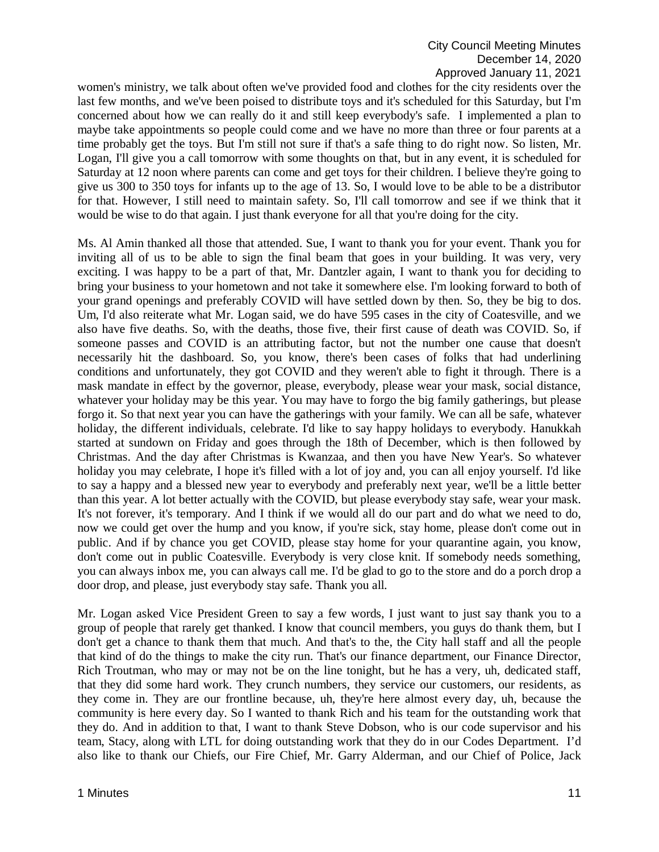women's ministry, we talk about often we've provided food and clothes for the city residents over the last few months, and we've been poised to distribute toys and it's scheduled for this Saturday, but I'm concerned about how we can really do it and still keep everybody's safe. I implemented a plan to maybe take appointments so people could come and we have no more than three or four parents at a time probably get the toys. But I'm still not sure if that's a safe thing to do right now. So listen, Mr. Logan, I'll give you a call tomorrow with some thoughts on that, but in any event, it is scheduled for Saturday at 12 noon where parents can come and get toys for their children. I believe they're going to give us 300 to 350 toys for infants up to the age of 13. So, I would love to be able to be a distributor for that. However, I still need to maintain safety. So, I'll call tomorrow and see if we think that it would be wise to do that again. I just thank everyone for all that you're doing for the city.

Ms. Al Amin thanked all those that attended. Sue, I want to thank you for your event. Thank you for inviting all of us to be able to sign the final beam that goes in your building. It was very, very exciting. I was happy to be a part of that, Mr. Dantzler again, I want to thank you for deciding to bring your business to your hometown and not take it somewhere else. I'm looking forward to both of your grand openings and preferably COVID will have settled down by then. So, they be big to dos. Um, I'd also reiterate what Mr. Logan said, we do have 595 cases in the city of Coatesville, and we also have five deaths. So, with the deaths, those five, their first cause of death was COVID. So, if someone passes and COVID is an attributing factor, but not the number one cause that doesn't necessarily hit the dashboard. So, you know, there's been cases of folks that had underlining conditions and unfortunately, they got COVID and they weren't able to fight it through. There is a mask mandate in effect by the governor, please, everybody, please wear your mask, social distance, whatever your holiday may be this year. You may have to forgo the big family gatherings, but please forgo it. So that next year you can have the gatherings with your family. We can all be safe, whatever holiday, the different individuals, celebrate. I'd like to say happy holidays to everybody. Hanukkah started at sundown on Friday and goes through the 18th of December, which is then followed by Christmas. And the day after Christmas is Kwanzaa, and then you have New Year's. So whatever holiday you may celebrate, I hope it's filled with a lot of joy and, you can all enjoy yourself. I'd like to say a happy and a blessed new year to everybody and preferably next year, we'll be a little better than this year. A lot better actually with the COVID, but please everybody stay safe, wear your mask. It's not forever, it's temporary. And I think if we would all do our part and do what we need to do, now we could get over the hump and you know, if you're sick, stay home, please don't come out in public. And if by chance you get COVID, please stay home for your quarantine again, you know, don't come out in public Coatesville. Everybody is very close knit. If somebody needs something, you can always inbox me, you can always call me. I'd be glad to go to the store and do a porch drop a door drop, and please, just everybody stay safe. Thank you all.

Mr. Logan asked Vice President Green to say a few words, I just want to just say thank you to a group of people that rarely get thanked. I know that council members, you guys do thank them, but I don't get a chance to thank them that much. And that's to the, the City hall staff and all the people that kind of do the things to make the city run. That's our finance department, our Finance Director, Rich Troutman, who may or may not be on the line tonight, but he has a very, uh, dedicated staff, that they did some hard work. They crunch numbers, they service our customers, our residents, as they come in. They are our frontline because, uh, they're here almost every day, uh, because the community is here every day. So I wanted to thank Rich and his team for the outstanding work that they do. And in addition to that, I want to thank Steve Dobson, who is our code supervisor and his team, Stacy, along with LTL for doing outstanding work that they do in our Codes Department. I'd also like to thank our Chiefs, our Fire Chief, Mr. Garry Alderman, and our Chief of Police, Jack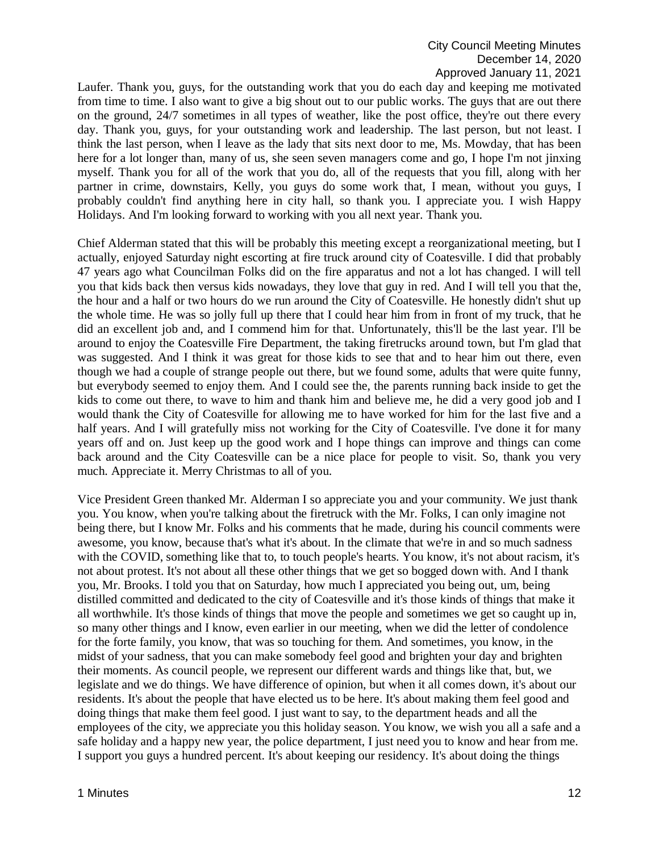Laufer. Thank you, guys, for the outstanding work that you do each day and keeping me motivated from time to time. I also want to give a big shout out to our public works. The guys that are out there on the ground, 24/7 sometimes in all types of weather, like the post office, they're out there every day. Thank you, guys, for your outstanding work and leadership. The last person, but not least. I think the last person, when I leave as the lady that sits next door to me, Ms. Mowday, that has been here for a lot longer than, many of us, she seen seven managers come and go, I hope I'm not jinxing myself. Thank you for all of the work that you do, all of the requests that you fill, along with her partner in crime, downstairs, Kelly, you guys do some work that, I mean, without you guys, I probably couldn't find anything here in city hall, so thank you. I appreciate you. I wish Happy Holidays. And I'm looking forward to working with you all next year. Thank you.

Chief Alderman stated that this will be probably this meeting except a reorganizational meeting, but I actually, enjoyed Saturday night escorting at fire truck around city of Coatesville. I did that probably 47 years ago what Councilman Folks did on the fire apparatus and not a lot has changed. I will tell you that kids back then versus kids nowadays, they love that guy in red. And I will tell you that the, the hour and a half or two hours do we run around the City of Coatesville. He honestly didn't shut up the whole time. He was so jolly full up there that I could hear him from in front of my truck, that he did an excellent job and, and I commend him for that. Unfortunately, this'll be the last year. I'll be around to enjoy the Coatesville Fire Department, the taking firetrucks around town, but I'm glad that was suggested. And I think it was great for those kids to see that and to hear him out there, even though we had a couple of strange people out there, but we found some, adults that were quite funny, but everybody seemed to enjoy them. And I could see the, the parents running back inside to get the kids to come out there, to wave to him and thank him and believe me, he did a very good job and I would thank the City of Coatesville for allowing me to have worked for him for the last five and a half years. And I will gratefully miss not working for the City of Coatesville. I've done it for many years off and on. Just keep up the good work and I hope things can improve and things can come back around and the City Coatesville can be a nice place for people to visit. So, thank you very much. Appreciate it. Merry Christmas to all of you.

Vice President Green thanked Mr. Alderman I so appreciate you and your community. We just thank you. You know, when you're talking about the firetruck with the Mr. Folks, I can only imagine not being there, but I know Mr. Folks and his comments that he made, during his council comments were awesome, you know, because that's what it's about. In the climate that we're in and so much sadness with the COVID, something like that to, to touch people's hearts. You know, it's not about racism, it's not about protest. It's not about all these other things that we get so bogged down with. And I thank you, Mr. Brooks. I told you that on Saturday, how much I appreciated you being out, um, being distilled committed and dedicated to the city of Coatesville and it's those kinds of things that make it all worthwhile. It's those kinds of things that move the people and sometimes we get so caught up in, so many other things and I know, even earlier in our meeting, when we did the letter of condolence for the forte family, you know, that was so touching for them. And sometimes, you know, in the midst of your sadness, that you can make somebody feel good and brighten your day and brighten their moments. As council people, we represent our different wards and things like that, but, we legislate and we do things. We have difference of opinion, but when it all comes down, it's about our residents. It's about the people that have elected us to be here. It's about making them feel good and doing things that make them feel good. I just want to say, to the department heads and all the employees of the city, we appreciate you this holiday season. You know, we wish you all a safe and a safe holiday and a happy new year, the police department, I just need you to know and hear from me. I support you guys a hundred percent. It's about keeping our residency. It's about doing the things